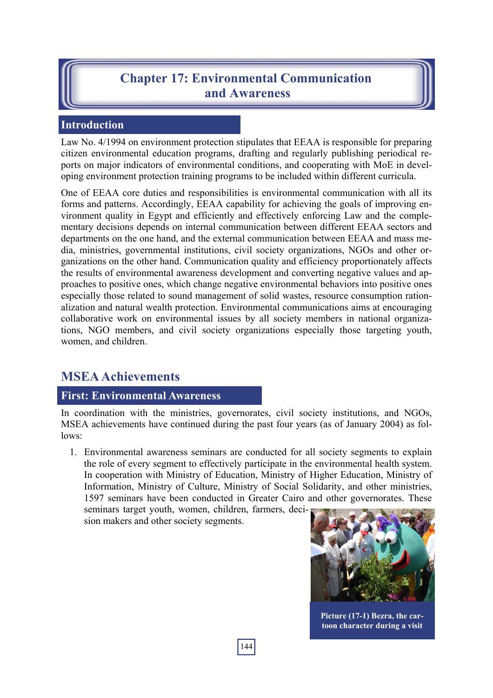# **Chapter 17: Environmental Communication and Awareness**

#### **Introduction**

Law No. 4/1994 on environment protection stipulates that EEAA is responsible for preparing citizen environmental education programs, drafting and regularly publishing periodical reports on major indicators of environmental conditions, and cooperating with MoE in developing environment protection training programs to be included within different curricula.

One of EEAA core duties and responsibilities is environmental communication with all its forms and patterns. Accordingly, EEAA capability for achieving the goals of improving environment quality in Egypt and efficiently and effectively enforcing Law and the complementary decisions depends on internal communication between different EEAA sectors and departments on the one hand, and the external communication between EEAA and mass media, ministries, governmental institutions, civil society organizations, NGOs and other organizations on the other hand. Communication quality and efficiency proportionately affects the results of environmental awareness development and converting negative values and approaches to positive ones, which change negative environmental behaviors into positive ones especially those related to sound management of solid wastes, resource consumption rationalization and natural wealth protection. Environmental communications aims at encouraging collaborative work on environmental issues by all society members in national organizations, NGO members, and civil society organizations especially those targeting youth, women, and children.

## **MSEA Achievements**

#### **First: Environmental Awareness**

In coordination with the ministries, governorates, civil society institutions, and NGOs, MSEA achievements have continued during the past four years (as of January 2004) as follows:

1. Environmental awareness seminars are conducted for all society segments to explain the role of every segment to effectively participate in the environmental health system. In cooperation with Ministry of Education, Ministry of Higher Education, Ministry of Information, Ministry of Culture, Ministry of Social Solidarity, and other ministries, 1597 seminars have been conducted in Greater Cairo and other governorates. These seminars target youth, women, children, farmers, deci-

sion makers and other society segments.



**Picture (17-1) Bezra, the cartoon character during a visit**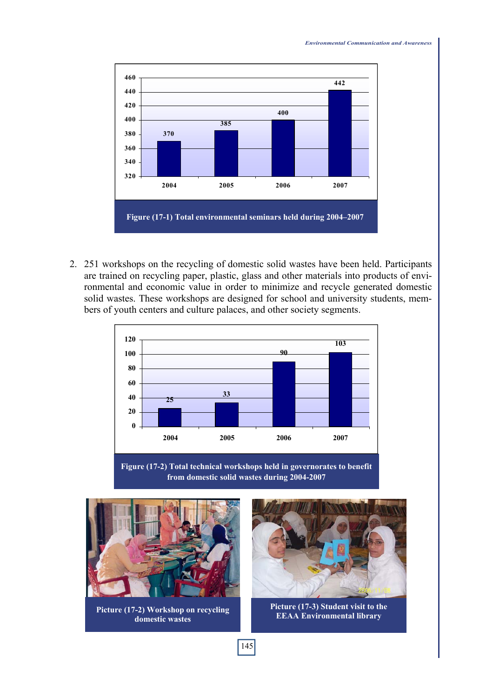

2. 251 workshops on the recycling of domestic solid wastes have been held. Participants are trained on recycling paper, plastic, glass and other materials into products of environmental and economic value in order to minimize and recycle generated domestic solid wastes. These workshops are designed for school and university students, members of youth centers and culture palaces, and other society segments.







**Picture (17-2) Workshop on recycling domestic wastes**



**Picture (17-3) Student visit to the EEAA Environmental library**

*Environmental Communication and Awareness*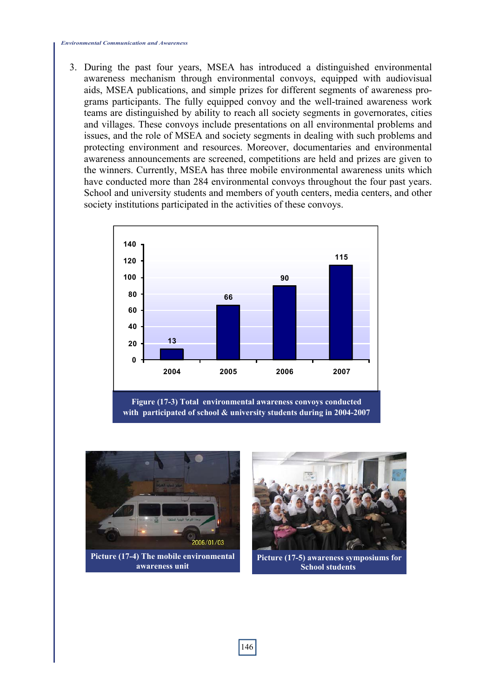#### *Environmental Communication and Awareness*

3. During the past four years, MSEA has introduced a distinguished environmental awareness mechanism through environmental convoys, equipped with audiovisual aids, MSEA publications, and simple prizes for different segments of awareness programs participants. The fully equipped convoy and the well-trained awareness work teams are distinguished by ability to reach all society segments in governorates, cities and villages. These convoys include presentations on all environmental problems and issues, and the role of MSEA and society segments in dealing with such problems and protecting environment and resources. Moreover, documentaries and environmental awareness announcements are screened, competitions are held and prizes are given to the winners. Currently, MSEA has three mobile environmental awareness units which have conducted more than 284 environmental convoys throughout the four past years. School and university students and members of youth centers, media centers, and other society institutions participated in the activities of these convoys.



**with participated of school & university students during in 2004-2007**



**Picture (17-4) The mobile environmental awareness unit**



**Picture (17-5) awareness symposiums for School students**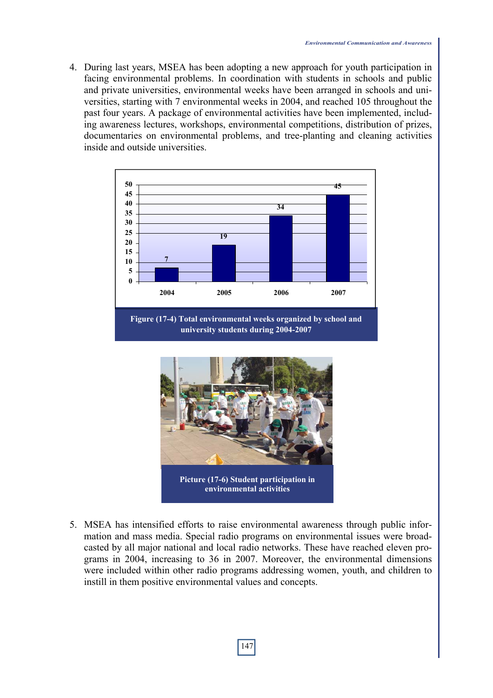4. During last years, MSEA has been adopting a new approach for youth participation in facing environmental problems. In coordination with students in schools and public and private universities, environmental weeks have been arranged in schools and universities, starting with 7 environmental weeks in 2004, and reached 105 throughout the past four years. A package of environmental activities have been implemented, including awareness lectures, workshops, environmental competitions, distribution of prizes, documentaries on environmental problems, and tree-planting and cleaning activities inside and outside universities.



**Figure (17-4) Total environmental weeks organized by school and university students during 2004-2007**



5. MSEA has intensified efforts to raise environmental awareness through public information and mass media. Special radio programs on environmental issues were broadcasted by all major national and local radio networks. These have reached eleven programs in 2004, increasing to 36 in 2007. Moreover, the environmental dimensions were included within other radio programs addressing women, youth, and children to instill in them positive environmental values and concepts.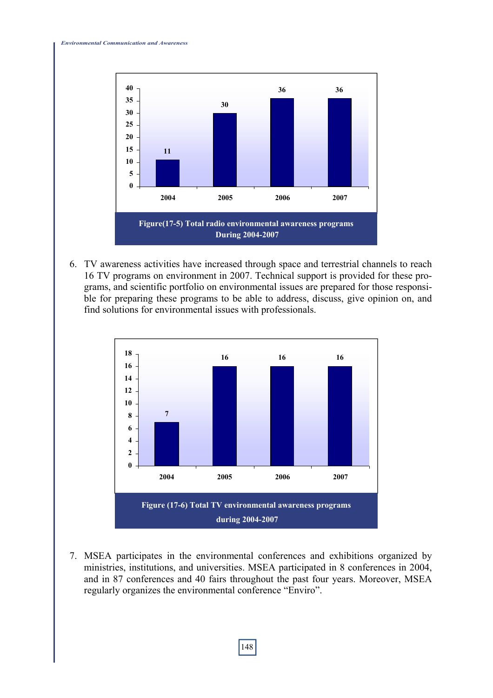

6. TV awareness activities have increased through space and terrestrial channels to reach 16 TV programs on environment in 2007. Technical support is provided for these programs, and scientific portfolio on environmental issues are prepared for those responsible for preparing these programs to be able to address, discuss, give opinion on, and find solutions for environmental issues with professionals.



7. MSEA participates in the environmental conferences and exhibitions organized by ministries, institutions, and universities. MSEA participated in 8 conferences in 2004, and in 87 conferences and 40 fairs throughout the past four years. Moreover, MSEA regularly organizes the environmental conference "Enviro".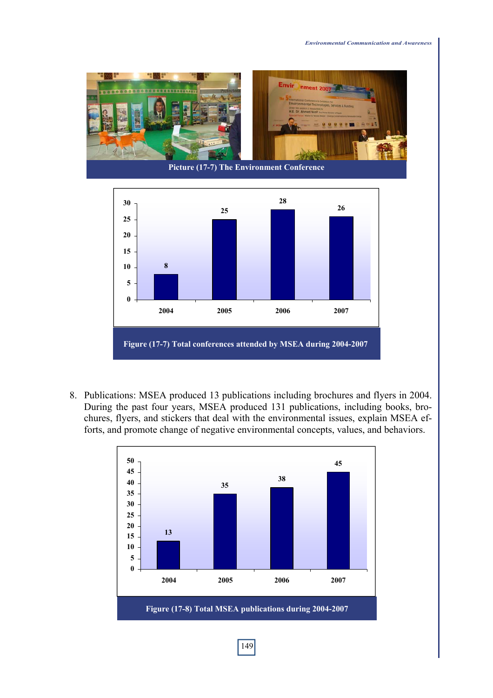



8. Publications: MSEA produced 13 publications including brochures and flyers in 2004. During the past four years, MSEA produced 131 publications, including books, brochures, flyers, and stickers that deal with the environmental issues, explain MSEA efforts, and promote change of negative environmental concepts, values, and behaviors.

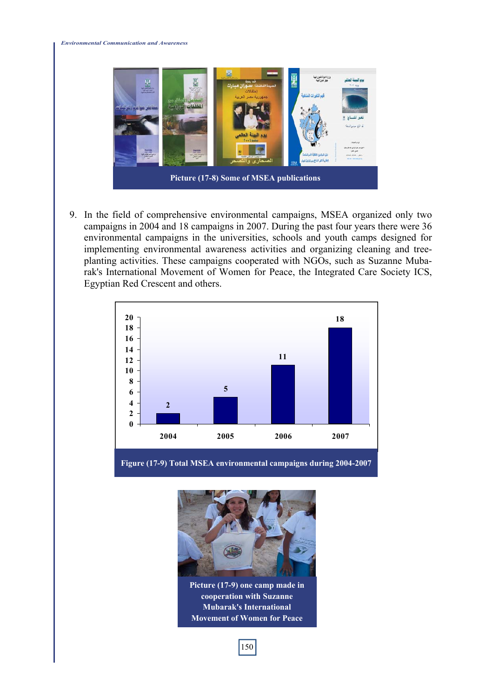

9. In the field of comprehensive environmental campaigns, MSEA organized only two campaigns in 2004 and 18 campaigns in 2007. During the past four years there were 36 environmental campaigns in the universities, schools and youth camps designed for implementing environmental awareness activities and organizing cleaning and treeplanting activities. These campaigns cooperated with NGOs, such as Suzanne Mubarak's International Movement of Women for Peace, the Integrated Care Society ICS, Egyptian Red Crescent and others.



**Figure (17-9) Total MSEA environmental campaigns during 2004-2007**



**Picture (17-9) one camp made in cooperation with Suzanne Mubarak's International Movement of Women for Peace**

150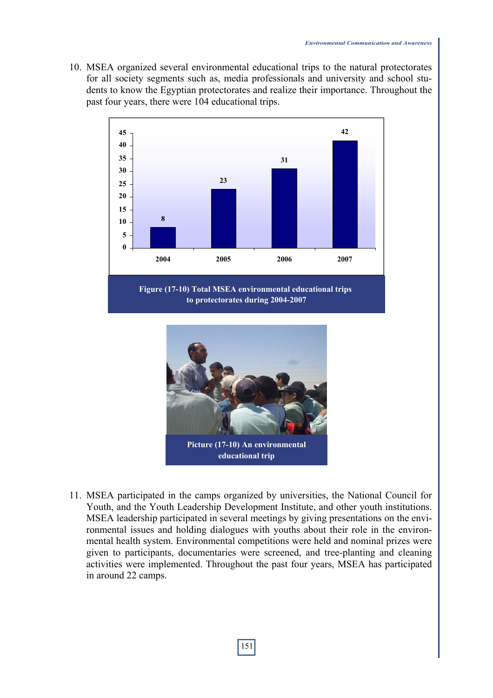10. MSEA organized several environmental educational trips to the natural protectorates for all society segments such as, media professionals and university and school students to know the Egyptian protectorates and realize their importance. Throughout the past four years, there were 104 educational trips.





**Picture (17-10) An environmental educational trip**

11. MSEA participated in the camps organized by universities, the National Council for Youth, and the Youth Leadership Development Institute, and other youth institutions. MSEA leadership participated in several meetings by giving presentations on the environmental issues and holding dialogues with youths about their role in the environmental health system. Environmental competitions were held and nominal prizes were given to participants, documentaries were screened, and tree-planting and cleaning activities were implemented. Throughout the past four years, MSEA has participated in around 22 camps.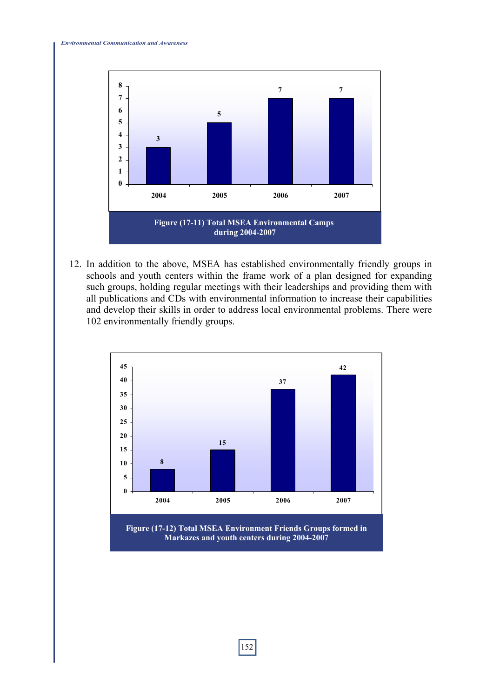

12. In addition to the above, MSEA has established environmentally friendly groups in schools and youth centers within the frame work of a plan designed for expanding such groups, holding regular meetings with their leaderships and providing them with all publications and CDs with environmental information to increase their capabilities and develop their skills in order to address local environmental problems. There were 102 environmentally friendly groups.



**Markazes and youth centers during 2004-2007**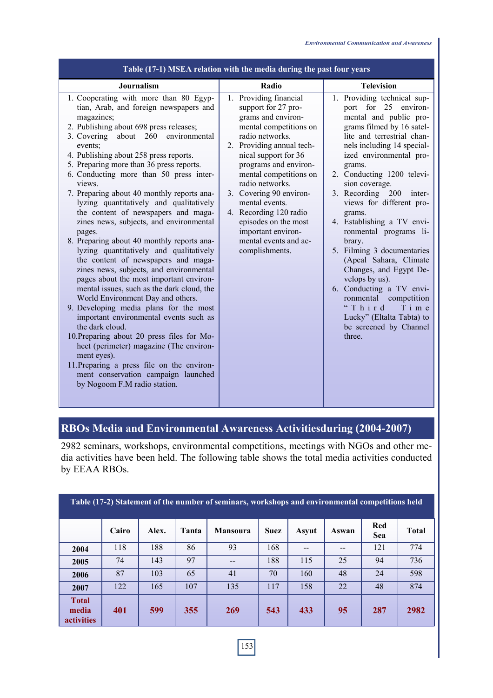| Table (17-1) MSEA relation with the media during the past four years                                                                                                                                                                                                                                                                                                                                                                                                                                                                                                                                                                                                                                                                                                                                                                                                                                                                                                                                                                                                                                                                                                           |                                                                                                                                                                                                                                                                                                                                                                                                             |                                                                                                                                                                                                                                                                                                                                                                                                                                                                                                                                                                                                                                               |  |  |  |  |  |  |  |  |
|--------------------------------------------------------------------------------------------------------------------------------------------------------------------------------------------------------------------------------------------------------------------------------------------------------------------------------------------------------------------------------------------------------------------------------------------------------------------------------------------------------------------------------------------------------------------------------------------------------------------------------------------------------------------------------------------------------------------------------------------------------------------------------------------------------------------------------------------------------------------------------------------------------------------------------------------------------------------------------------------------------------------------------------------------------------------------------------------------------------------------------------------------------------------------------|-------------------------------------------------------------------------------------------------------------------------------------------------------------------------------------------------------------------------------------------------------------------------------------------------------------------------------------------------------------------------------------------------------------|-----------------------------------------------------------------------------------------------------------------------------------------------------------------------------------------------------------------------------------------------------------------------------------------------------------------------------------------------------------------------------------------------------------------------------------------------------------------------------------------------------------------------------------------------------------------------------------------------------------------------------------------------|--|--|--|--|--|--|--|--|
| Journalism                                                                                                                                                                                                                                                                                                                                                                                                                                                                                                                                                                                                                                                                                                                                                                                                                                                                                                                                                                                                                                                                                                                                                                     | Radio                                                                                                                                                                                                                                                                                                                                                                                                       | <b>Television</b>                                                                                                                                                                                                                                                                                                                                                                                                                                                                                                                                                                                                                             |  |  |  |  |  |  |  |  |
| 1. Cooperating with more than 80 Egyp-<br>tian, Arab, and foreign newspapers and<br>magazines;<br>2. Publishing about 698 press releases;<br>3. Covering<br>about 260<br>environmental<br>events;<br>4. Publishing about 258 press reports.<br>5. Preparing more than 36 press reports.<br>6. Conducting more than 50 press inter-<br>views.<br>7. Preparing about 40 monthly reports ana-<br>lyzing quantitatively and qualitatively<br>the content of newspapers and maga-<br>zines news, subjects, and environmental<br>pages.<br>8. Preparing about 40 monthly reports ana-<br>lyzing quantitatively and qualitatively<br>the content of newspapers and maga-<br>zines news, subjects, and environmental<br>pages about the most important environ-<br>mental issues, such as the dark cloud, the<br>World Environment Day and others.<br>9. Developing media plans for the most<br>important environmental events such as<br>the dark cloud.<br>10. Preparing about 20 press files for Mo-<br>heet (perimeter) magazine (The environ-<br>ment eyes).<br>11. Preparing a press file on the environ-<br>ment conservation campaign launched<br>by Nogoom F.M radio station. | 1. Providing financial<br>support for 27 pro-<br>grams and environ-<br>mental competitions on<br>radio networks.<br>2. Providing annual tech-<br>nical support for 36<br>programs and environ-<br>mental competitions on<br>radio networks.<br>3. Covering 90 environ-<br>mental events.<br>4. Recording 120 radio<br>episodes on the most<br>important environ-<br>mental events and ac-<br>complishments. | 1. Providing technical sup-<br>port for 25 environ-<br>mental and public pro-<br>grams filmed by 16 satel-<br>lite and terrestrial chan-<br>nels including 14 special-<br>ized environmental pro-<br>grams.<br>2. Conducting 1200 televi-<br>sion coverage.<br>3. Recording 200<br>inter-<br>views for different pro-<br>grams.<br>4. Establishing a TV envi-<br>ronmental programs li-<br>brary.<br>5. Filming 3 documentaries<br>(Apeal Sahara, Climate<br>Changes, and Egypt De-<br>velops by us).<br>6. Conducting a TV envi-<br>ronmental competition<br>"Third<br>Time<br>Lucky" (Eltalta Tabta) to<br>be screened by Channel<br>three. |  |  |  |  |  |  |  |  |

#### **RBOs Media and Environmental Awareness Activitiesduring (2004-2007)**

2982 seminars, workshops, environmental competitions, meetings with NGOs and other media activities have been held. The following table shows the total media activities conducted by EEAA RBOs.

| Table (17-2) Statement of the number of seminars, workshops and environmental competitions held |       |       |       |                 |             |       |       |                   |              |  |
|-------------------------------------------------------------------------------------------------|-------|-------|-------|-----------------|-------------|-------|-------|-------------------|--------------|--|
|                                                                                                 | Cairo | Alex. | Tanta | <b>Mansoura</b> | <b>Suez</b> | Asyut | Aswan | Red<br><b>Sea</b> | <b>Total</b> |  |
| 2004                                                                                            | 118   | 188   | 86    | 93              | 168         |       | --    | 121               | 774          |  |
| 2005                                                                                            | 74    | 143   | 97    | --              | 188         | 115   | 25    | 94                | 736          |  |
| 2006                                                                                            | 87    | 103   | 65    | 41              | 70          | 160   | 48    | 24                | 598          |  |
| 2007                                                                                            | 122   | 165   | 107   | 135             | 117         | 158   | 22    | 48                | 874          |  |
| <b>Total</b><br>media<br>activities                                                             | 401   | 599   | 355   | 269             | 543         | 433   | 95    | 287               | 2982         |  |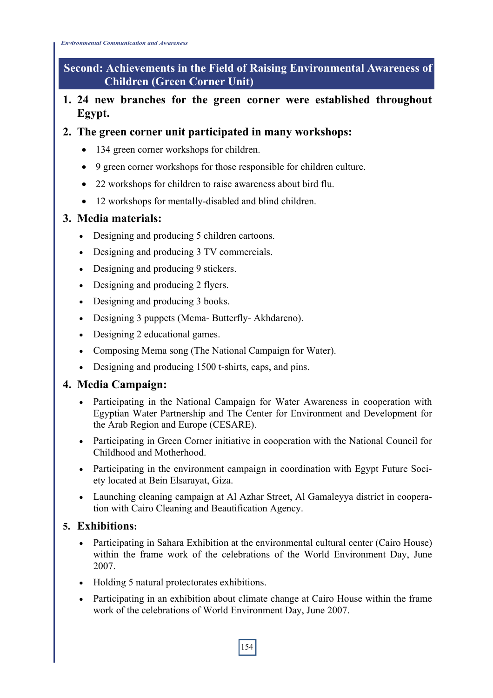*Environmental Communication and Awareness*

**Second: Achievements in the Field of Raising Environmental Awareness of Children (Green Corner Unit)** 

- **1. 24 new branches for the green corner were established throughout Egypt.**
- **2. The green corner unit participated in many workshops:** 
	- 134 green corner workshops for children.
	- 9 green corner workshops for those responsible for children culture.
	- 22 workshops for children to raise awareness about bird flu.
	- 12 workshops for mentally-disabled and blind children.

### **3. Media materials:**

- Designing and producing 5 children cartoons.
- Designing and producing 3 TV commercials.
- Designing and producing 9 stickers.
- Designing and producing 2 flyers.
- Designing and producing 3 books.
- Designing 3 puppets (Mema- Butterfly- Akhdareno).
- Designing 2 educational games.
- Composing Mema song (The National Campaign for Water).
- Designing and producing 1500 t-shirts, caps, and pins.

## **4. Media Campaign:**

- Participating in the National Campaign for Water Awareness in cooperation with Egyptian Water Partnership and The Center for Environment and Development for the Arab Region and Europe (CESARE).
- Participating in Green Corner initiative in cooperation with the National Council for Childhood and Motherhood.
- Participating in the environment campaign in coordination with Egypt Future Society located at Bein Elsarayat, Giza.
- Launching cleaning campaign at Al Azhar Street, Al Gamaleyya district in cooperation with Cairo Cleaning and Beautification Agency.

## **5. Exhibitions:**

- Participating in Sahara Exhibition at the environmental cultural center (Cairo House) within the frame work of the celebrations of the World Environment Day, June 2007.
- Holding 5 natural protectorates exhibitions.
- Participating in an exhibition about climate change at Cairo House within the frame work of the celebrations of World Environment Day, June 2007.